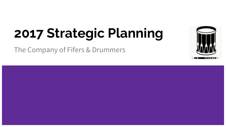# **2017 Strategic Planning**

The Company of Fifers & Drummers

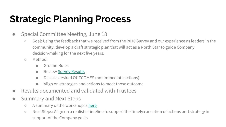## **Strategic Planning Process**

- Special Committee Meeting, June 18
	- Goal: Using the feedback that we received from the 2016 Survey and our experience as leaders in the community, develop a draft strategic plan that will act as a North Star to guide Company decision-making for the next five years.
	- Method:
		- Ground Rules
		- Review **Survey Results**
		- Discuss desired OUTCOMES (not immediate actions)
		- Align on strategies and actions to meet those outcome
- Results documented and validated with Trustees
- Summary and Next Steps
	- A summary of the workshop is [here](https://companyoffifeanddrum.org/news/80-june-18-strategic-planning-meeting)
	- Next Steps: Align on a realistic timeline to support the timely execution of actions and strategy in support of the Company goals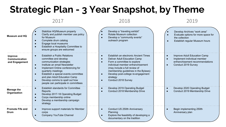### **Strategic Plan - 3 Year Snapshot, by Theme**

#### 2017

#### 2018

#### 2019

| Museum and HQ                                     | Stabilize HQ/Museum property<br>Clarify and publish member use policy<br>for Museum<br>Complete drum catalog<br>Engage local museums<br>Establish a Hospitality Committee to<br>ensure groups are welcomed                                                                                                                                                              | Develop a "traveling exhibit"<br>Rotate Museum collection<br>Develop a "community events"<br>outreach program                                                                                                                                                                                                                                   | Develop Archives "work area"<br>Evaluate options for more space for<br>the collection<br>Establish regular Museum hours<br>$\bullet$ |
|---------------------------------------------------|-------------------------------------------------------------------------------------------------------------------------------------------------------------------------------------------------------------------------------------------------------------------------------------------------------------------------------------------------------------------------|-------------------------------------------------------------------------------------------------------------------------------------------------------------------------------------------------------------------------------------------------------------------------------------------------------------------------------------------------|--------------------------------------------------------------------------------------------------------------------------------------|
| <b>Improve</b><br>Communication<br>and Engagement | Establish a Public Relations<br>$\bullet$<br>committee and develop<br>communication strategies<br>Institute an email Newsletter<br>$\bullet$<br>Implement Online conferencing for<br>$\bullet$<br>quarterly meetings<br>Establish a special events committee<br>and plan Adult Education Camp<br>Develop comms to spell out how<br>people can participate in committees | Establish an electronic Ancient Times<br>$\bullet$<br>Deliver Adult Education Camp<br>$\bullet$<br>Form a committee to explore<br>$\bullet$<br>individual member enfranchisement<br>(may include a full review of<br>membership guidelines in the Bylaws)<br>Develop post-college re-engagement<br>$\bullet$<br>strategy<br>Conduct 2018 Survey | Improve Adult Education Camp<br>$\bullet$<br>Implement individual member<br>enfranchisement recommendations<br>Conduct 2019 Survey   |
| <b>Manage the</b><br>Organization                 | Establish standards for Committee<br>Reports<br>Develop 2017-18 Operating Budget<br>$\bullet$<br>Corps membership online<br>Develop a membership campaign<br>strategy                                                                                                                                                                                                   | Develop 2019 Operating Budget<br>$\bullet$<br>Conduct 2018 Membership Drive                                                                                                                                                                                                                                                                     | Develop 2020 Operating Budget<br>$\bullet$<br>Conduct 2019 Membership Drive                                                          |
| <b>Promote Fife and</b><br>Drum                   | Improve support materials for Member<br>$\bullet$<br>corps<br>Company YouTube Channel                                                                                                                                                                                                                                                                                   | Conduct US 250th Anniversary<br>$\bullet$<br>Planning<br>Explore the feasibility of developing a<br>$\bullet$<br>documentary on the tradition                                                                                                                                                                                                   | Begin implementing 250th<br>Anniversary plan                                                                                         |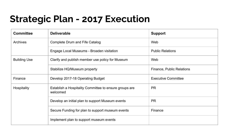### **Strategic Plan - 2017 Execution**

| <b>Committee</b>    | <b>Deliverable</b>                                                 | <b>Support</b>             |
|---------------------|--------------------------------------------------------------------|----------------------------|
| Archives            | Complete Drum and Fife Catalog                                     | Web                        |
|                     | Engage Local Museums - Broaden visitation                          | <b>Public Relations</b>    |
| <b>Building Use</b> | Clarify and publish member use policy for Museum                   | Web                        |
|                     | Stabilize HQ/Museum property                                       | Finance, Public Relations  |
| Finance             | Develop 2017-18 Operating Budget                                   | <b>Executive Committee</b> |
| Hospitality         | Establish a Hospitality Committee to ensure groups are<br>welcomed | <b>PR</b>                  |
|                     | Develop an initial plan to support Museum events                   | <b>PR</b>                  |
|                     | Secure Funding for plan to support museum events                   | Finance                    |
|                     | Implement plan to support museum events                            |                            |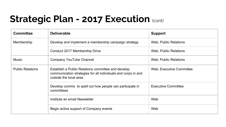### **Strategic Plan - 2017 Execution (cont)**

| <b>Committee</b>        | <b>Deliverable</b>                                                                                                                            | <b>Support</b>             |
|-------------------------|-----------------------------------------------------------------------------------------------------------------------------------------------|----------------------------|
| Membership              | Develop and implement a membership campaign strategy                                                                                          | Web, Public Relations      |
|                         | Conduct 2017 Membership Drive                                                                                                                 | Web, Public Relations      |
| <b>Music</b>            | Company YouTube Channel                                                                                                                       | Web, Public Relations      |
| <b>Public Relations</b> | Establish a Public Relations committee and develop<br>communication strategies for all individuals and corps in and<br>outside the local area | Web, Executive Committee   |
|                         | Develop comms to spell out how people can participate in<br>committees                                                                        | <b>Executive Committee</b> |
|                         | Institute an email Newsletter                                                                                                                 | Web                        |
|                         | Begin active support of Company events                                                                                                        | Web                        |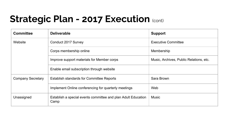### **Strategic Plan - 2017 Execution (cont)**

| <b>Committee</b>         | <b>Deliverable</b>                                                    | <b>Support</b>                          |
|--------------------------|-----------------------------------------------------------------------|-----------------------------------------|
| Website                  | Conduct 2017 Survey                                                   | <b>Executive Committee</b>              |
|                          | Corps membership online                                               | Membership                              |
|                          | Improve support materials for Member corps                            | Music, Archives, Public Relations, etc. |
|                          | Enable email subscription through website                             |                                         |
| <b>Company Secretary</b> | <b>Establish standards for Committee Reports</b>                      | Sara Brown                              |
|                          | Implement Online conferencing for quarterly meetings                  | Web                                     |
| Unassigned               | Establish a special events committee and plan Adult Education<br>Camp | Music                                   |